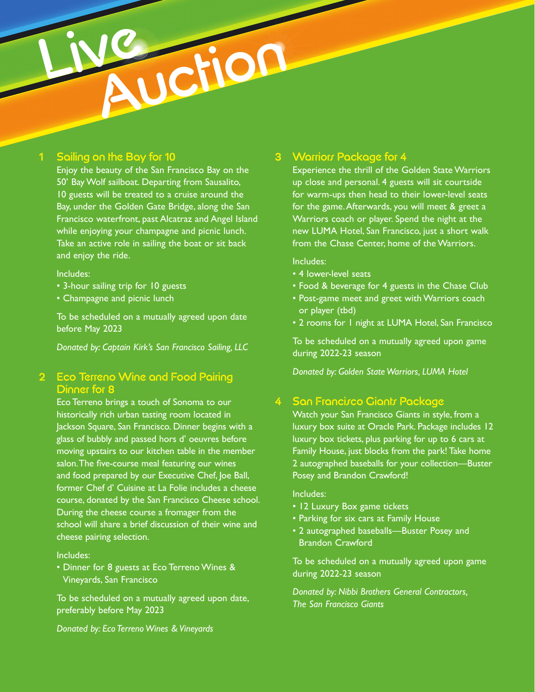## 1 Sailing on the Bay for 10

Live

Enjoy the beauty of the San Francisco Bay on the 50' Bay Wolf sailboat. Departing from Sausalito, 10 guests will be treated to a cruise around the Bay, under the Golden Gate Bridge, along the San Francisco waterfront, past Alcatraz and Angel Island while enjoying your champagne and picnic lunch. Take an active role in sailing the boat or sit back and enjoy the ride.

**Metion** 

#### Includes:

- 3-hour sailing trip for 10 guests
- Champagne and picnic lunch

To be scheduled on a mutually agreed upon date before May 2023

*Donated by: Captain Kirk's San Francisco Sailing, LLC*

## 2 Eco Terreno Wine and Food Pairing Dinner for 8

Eco Terreno brings a touch of Sonoma to our historically rich urban tasting room located in Jackson Square, San Francisco. Dinner begins with a glass of bubbly and passed hors d' oeuvres before moving upstairs to our kitchen table in the member salon. The five-course meal featuring our wines and food prepared by our Executive Chef, Joe Ball, former Chef d' Cuisine at La Folie includes a cheese course, donated by the San Francisco Cheese school. During the cheese course a fromager from the school will share a brief discussion of their wine and cheese pairing selection.

#### Includes:

• Dinner for 8 guests at Eco Terreno Wines & Vineyards, San Francisco

To be scheduled on a mutually agreed upon date, preferably before May 2023

# *Donated by: Eco Terreno Wines & Vineyards*

### 3 Warriors Package for 4

Experience the thrill of the Golden State Warriors up close and personal. 4 guests will sit courtside for warm-ups then head to their lower-level seats for the game. Afterwards, you will meet & greet a Warriors coach or player. Spend the night at the new LUMA Hotel, San Francisco, just a short walk from the Chase Center, home of the Warriors.

#### Includes:

- 4 lower-level seats
- Food & beverage for 4 guests in the Chase Club
- Post-game meet and greet with Warriors coach or player (tbd)
- 2 rooms for 1 night at LUMA Hotel, San Francisco

To be scheduled on a mutually agreed upon game during 2022-23 season

*Donated by: Golden State Warriors, LUMA Hotel*

### **San Francisco Giants Package**

Watch your San Francisco Giants in style, from a luxury box suite at Oracle Park. Package includes 12 luxury box tickets, plus parking for up to 6 cars at Family House, just blocks from the park! Take home 2 autographed baseballs for your collection—Buster Posey and Brandon Crawford!

#### Includes:

- 12 Luxury Box game tickets
- Parking for six cars at Family House
- 2 autographed baseballs—Buster Posey and Brandon Crawford

To be scheduled on a mutually agreed upon game during 2022-23 season

*Donated by: Nibbi Brothers General Contractors, The San Francisco Giants*